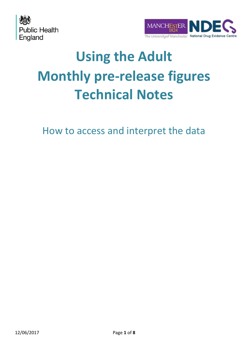



# **Using the Adult Monthly pre-release figures Technical Notes**

How to access and interpret the data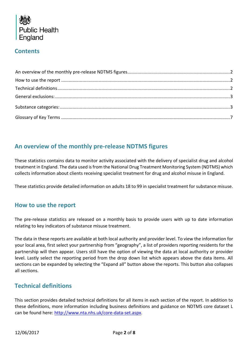

## **Contents**

## <span id="page-1-0"></span>**An overview of the monthly pre-release NDTMS figures**

These statistics contains data to monitor activity associated with the delivery of specialist drug and alcohol treatment in England. The data used is from the National Drug Treatment Monitoring System (NDTMS) which collects information about clients receiving specialist treatment for drug and alcohol misuse in England.

These statistics provide detailed information on adults 18 to 99 in specialist treatment for substance misuse.

## <span id="page-1-1"></span>**How to use the report**

The pre-release statistics are released on a monthly basis to provide users with up to date information relating to key indicators of substance misuse treatment.

The data in these reports are available at both local authority and provider level. To view the information for your local area, first select your partnership from "geography", a list of providers reporting residents for the partnership will then appear. Users still have the option of viewing the data at local authority or provider level. Lastly select the reporting period from the drop down list which appears above the data items. All sections can be expanded by selecting the "Expand all" button above the reports. This button also collapses all sections.

## <span id="page-1-2"></span>**Technical definitions**

This section provides detailed technical definitions for all items in each section of the report. In addition to these definitions, more information including business definitions and guidance on NDTMS core dataset L can be found here: [http://www.nta.nhs.uk/core-data-set.aspx.](http://www.nta.nhs.uk/core-data-set.aspx)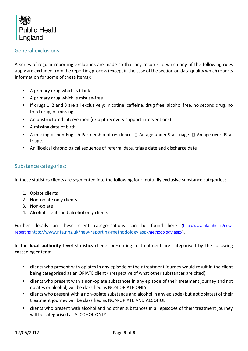

#### <span id="page-2-0"></span>General exclusions:

A series of regular reporting exclusions are made so that any records to which any of the following rules apply are excluded from the reporting process (except in the case of the section on data quality which reports information for some of these items):

- A primary drug which is blank
- A primary drug which is misuse-free
- If drugs 1, 2 and 3 are all exclusively; nicotine, caffeine, drug free, alcohol free, no second drug, no third drug, or missing.
- An unstructured intervention (except recovery support interventions)
- A missing date of birth
- A missing or non-English Partnership of residence  $\Box$  An age under 9 at triage  $\Box$  An age over 99 at triage.
- An illogical chronological sequence of referral date, triage date and discharge date

#### <span id="page-2-1"></span>Substance categories:

In these statistics clients are segmented into the following four mutually exclusive substance categories;

- 1. Opiate clients
- 2. Non-opiate only clients
- 3. Non-opiate
- 4. Alcohol clients and alcohol only clients

Further details on these client categorisations can be found here [\(http://www.nta.nhs.uk/new](http://www.nta.nhs.uk/new-reporting-methodology.aspx)[reporting](http://www.nta.nhs.uk/new-reporting-methodology.aspx)<http://www.nta.nhs.uk/new-reporting-methodology.aspx>[methodology.aspx\).](http://www.nta.nhs.uk/new-reporting-methodology.aspx)

In the **local authority level** statistics clients presenting to treatment are categorised by the following cascading criteria:

- clients who present with opiates in any episode of their treatment journey would result in the client being categorised as an OPIATE client (irrespective of what other substances are cited)
- clients who present with a non-opiate substances in any episode of their treatment journey and not opiates or alcohol, will be classified as NON-OPIATE ONLY
- clients who present with a non-opiate substance and alcohol in any episode (but not opiates) of their treatment journey will be classified as NON-OPIATE AND ALCOHOL
- clients who present with alcohol and no other substances in all episodes of their treatment journey will be categorised as ALCOHOL ONLY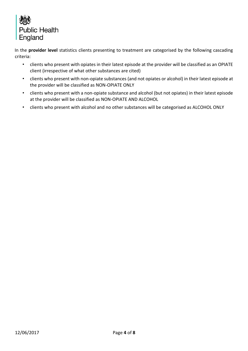

In the **provider level** statistics clients presenting to treatment are categorised by the following cascading criteria:

- clients who present with opiates in their latest episode at the provider will be classified as an OPIATE client (irrespective of what other substances are cited)
- clients who present with non-opiate substances (and not opiates or alcohol) in their latest episode at the provider will be classified as NON-OPIATE ONLY
- clients who present with a non-opiate substance and alcohol (but not opiates) in their latest episode at the provider will be classified as NON-OPIATE AND ALCOHOL
- clients who present with alcohol and no other substances will be categorised as ALCOHOL ONLY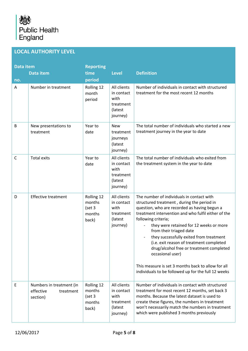

# **LOCAL AUTHORITY LEVEL**

| Data item<br>no. | Data item                                                      | <b>Reporting</b><br>time<br>period                 | <b>Level</b>                                                          | <b>Definition</b>                                                                                                                                                                                                                                                                                                                                                                                                                                                                                                                                                                    |
|------------------|----------------------------------------------------------------|----------------------------------------------------|-----------------------------------------------------------------------|--------------------------------------------------------------------------------------------------------------------------------------------------------------------------------------------------------------------------------------------------------------------------------------------------------------------------------------------------------------------------------------------------------------------------------------------------------------------------------------------------------------------------------------------------------------------------------------|
| A                | Number in treatment                                            | Rolling 12<br>month<br>period                      | All clients<br>in contact<br>with<br>treatment<br>(latest<br>journey) | Number of individuals in contact with structured<br>treatment for the most recent 12 months                                                                                                                                                                                                                                                                                                                                                                                                                                                                                          |
| B                | New presentations to<br>treatment                              | Year to<br>date                                    | <b>New</b><br>treatment<br>journeys<br>(latest<br>journey)            | The total number of individuals who started a new<br>treatment journey in the year to date                                                                                                                                                                                                                                                                                                                                                                                                                                                                                           |
| C                | <b>Total exits</b>                                             | Year to<br>date                                    | All clients<br>in contact<br>with<br>treatment<br>(latest<br>journey) | The total number of individuals who exited from<br>the treatment system in the year to date                                                                                                                                                                                                                                                                                                                                                                                                                                                                                          |
| D                | <b>Effective treatment</b>                                     | Rolling 12<br>months<br>(set 3)<br>months<br>back) | All clients<br>in contact<br>with<br>treatment<br>(latest<br>journey) | The number of individuals in contact with<br>structured treatment, during the period in<br>question, who are recorded as having begun a<br>treatment intervention and who fulfil either of the<br>following criteria;<br>they were retained for 12 weeks or more<br>$\qquad \qquad -$<br>from their triaged date<br>they successfully exited from treatment<br>(i.e. exit reason of treatment completed<br>drug/alcohol free or treatment completed<br>occasional user)<br>This measure is set 3 months back to allow for all<br>individuals to be followed up for the full 12 weeks |
| E                | Numbers in treatment (in<br>effective<br>treatment<br>section) | Rolling 12<br>months<br>(set 3<br>months<br>back)  | All clients<br>in contact<br>with<br>treatment<br>(latest<br>journey) | Number of individuals in contact with structured<br>treatment for most recent 12 months, set back 3<br>months. Because the latest dataset is used to<br>create these figures, the numbers in treatment<br>won't necessarily match the numbers in treatment<br>which were published 3 months previously                                                                                                                                                                                                                                                                               |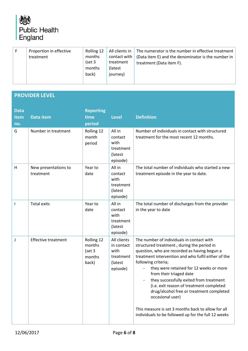

|  | Proportion in effective<br>treatment | Rolling 12<br>months<br>(set 3<br>months<br>back) | All clients in<br>contact with<br>treatment<br>(latest<br>journey) | The numerator is the number in effective treatment<br>(Data item E) and the denominator is the number in<br>treatment (Data item F). |
|--|--------------------------------------|---------------------------------------------------|--------------------------------------------------------------------|--------------------------------------------------------------------------------------------------------------------------------------|
|--|--------------------------------------|---------------------------------------------------|--------------------------------------------------------------------|--------------------------------------------------------------------------------------------------------------------------------------|

## **PROVIDER LEVEL**

| <b>Data</b><br>item<br>no. | Data item                         | <b>Reporting</b><br>time<br>period                 | <b>Level</b>                                                          | <b>Definition</b>                                                                                                                                                                                                                                                                                                                                                                                                                                                                                                                                                |
|----------------------------|-----------------------------------|----------------------------------------------------|-----------------------------------------------------------------------|------------------------------------------------------------------------------------------------------------------------------------------------------------------------------------------------------------------------------------------------------------------------------------------------------------------------------------------------------------------------------------------------------------------------------------------------------------------------------------------------------------------------------------------------------------------|
| G                          | Number in treatment               | Rolling 12<br>month<br>period                      | All in<br>contact<br>with<br>treatment<br>(latest<br>episode)         | Number of individuals in contact with structured<br>treatment for the most recent 12 months.                                                                                                                                                                                                                                                                                                                                                                                                                                                                     |
| H                          | New presentations to<br>treatment | Year to<br>date                                    | All in<br>contact<br>with<br>treatment<br>(latest<br>episode)         | The total number of individuals who started a new<br>treatment episode in the year to date.                                                                                                                                                                                                                                                                                                                                                                                                                                                                      |
| $\mathbf{I}$               | <b>Total exits</b>                | Year to<br>date                                    | All in<br>contact<br>with<br>treatment<br>(latest<br>episode)         | The total number of discharges from the provider<br>in the year to date                                                                                                                                                                                                                                                                                                                                                                                                                                                                                          |
| J                          | <b>Effective treatment</b>        | Rolling 12<br>months<br>(set 3)<br>months<br>back) | All clients<br>in contact<br>with<br>treatment<br>(latest<br>episode) | The number of individuals in contact with<br>structured treatment-, during the period in<br>question, who are recorded as having begun a<br>treatment intervention and who fulfil either of the<br>following criteria;<br>they were retained for 12 weeks or more<br>from their triaged date<br>they successfully exited from treatment<br>(i.e. exit reason of treatment completed<br>drug/alcohol free or treatment completed<br>occasional user)<br>This measure is set 3 months back to allow for all<br>individuals to be followed up for the full 12 weeks |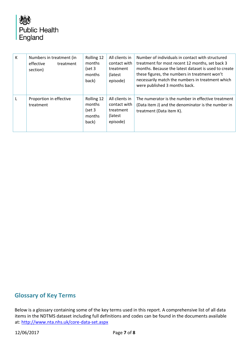

| К | Numbers in treatment (in<br>effective<br>treatment<br>section) | Rolling 12<br>months<br>(set 3<br>months<br>back) | All clients in<br>contact with<br>treatment<br>(latest)<br>episode) | Number of individuals in contact with structured<br>treatment for most recent 12 months, set back 3<br>months. Because the latest dataset is used to create<br>these figures, the numbers in treatment won't<br>necessarily match the numbers in treatment which<br>were published 3 months back. |
|---|----------------------------------------------------------------|---------------------------------------------------|---------------------------------------------------------------------|---------------------------------------------------------------------------------------------------------------------------------------------------------------------------------------------------------------------------------------------------------------------------------------------------|
|   | Proportion in effective<br>treatment                           | Rolling 12<br>months<br>(set 3<br>months<br>back) | All clients in<br>contact with<br>treatment<br>(latest)<br>episode) | The numerator is the number in effective treatment<br>(Data item J) and the denominator is the number in<br>treatment (Data item K).                                                                                                                                                              |

# <span id="page-6-0"></span>**Glossary of Key Terms**

Below is a glossary containing some of the key terms used in this report. A comprehensive list of all data items in the NDTMS dataset including full definitions and codes can be found in the documents available at[:](http://www.nta.nhs.uk/core-data-set.aspx) <http://www.nta.nhs.uk/core-data-set.aspx>